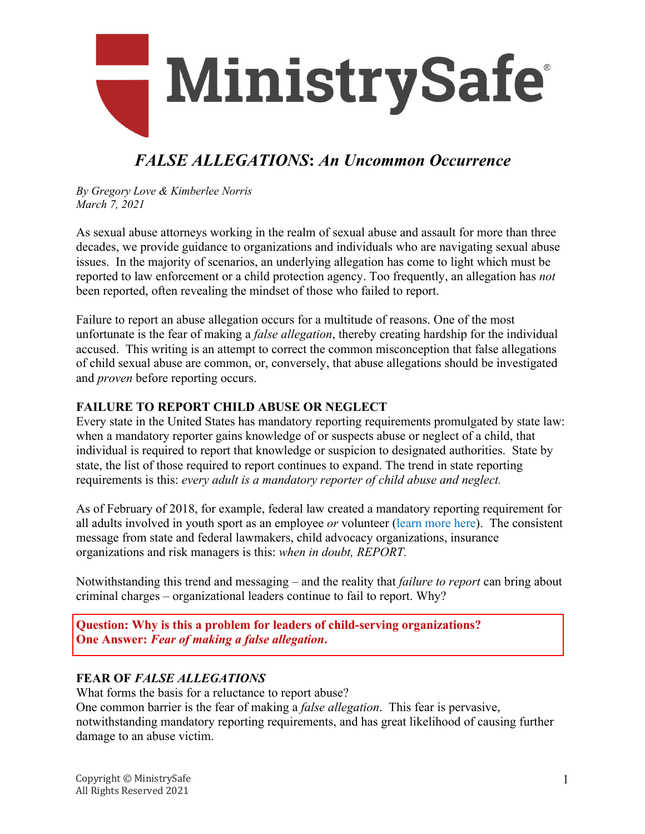

# *FALSE ALLEGATIONS***:** *An Uncommon Occurrence*

*By Gregory Love & Kimberlee Norris March 7, 2021*

As sexual abuse attorneys working in the realm of sexual abuse and assault for more than three decades, we provide guidance to organizations and individuals who are navigating sexual abuse issues. In the majority of scenarios, an underlying allegation has come to light which must be reported to law enforcement or a child protection agency. Too frequently, an allegation has *not*  been reported, often revealing the mindset of those who failed to report.

Failure to report an abuse allegation occurs for a multitude of reasons. One of the most unfortunate is the fear of making a *false allegation*, thereby creating hardship for the individual accused. This writing is an attempt to correct the common misconception that false allegations of child sexual abuse are common, or, conversely, that abuse allegations should be investigated and *proven* before reporting occurs.

#### **FAILURE TO REPORT CHILD ABUSE OR NEGLECT**

Every state in the United States has mandatory reporting requirements promulgated by state law: when a mandatory reporter gains knowledge of or suspects abuse or neglect of a child, that individual is required to report that knowledge or suspicion to designated authorities. State by state, the list of those required to report continues to expand. The trend in state reporting requirements is this: *every adult is a mandatory reporter of child abuse and neglect.*

As of February of 2018, for example, federal law created a mandatory reporting requirement for all adults involved in youth sport as an employee *or* volunteer [\(learn more](https://abusepreventionsystems.com/wp-content/uploads/2018/02/New-Legislation-Sexual-Abuse-in-Youth-Sport-2-9-2018.pdf) here). The consistent message from state and federal lawmakers, child advocacy organizations, insurance organizations and risk managers is this: *when in doubt, REPORT.* 

Notwithstanding this trend and messaging – and the reality that *failure to report* can bring about criminal charges – organizational leaders continue to fail to report. Why?

**Question: Why is this a problem for leaders of child-serving organizations? One Answer:** *Fear of making a false allegation***.**

#### **FEAR OF** *FALSE ALLEGATIONS*

What forms the basis for a reluctance to report abuse?

One common barrier is the fear of making a *false allegation*. This fear is pervasive, notwithstanding mandatory reporting requirements, and has great likelihood of causing further damage to an abuse victim.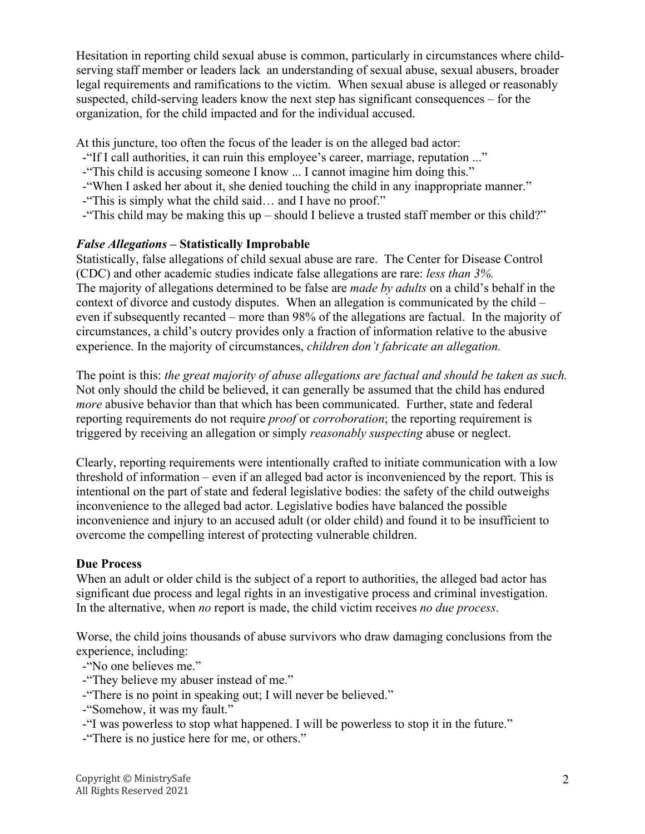Hesitation in reporting child sexual abuse is common, particularly in circumstances where childserving staff member or leaders lack an understanding of sexual abuse, sexual abusers, broader legal requirements and ramifications to the victim. When sexual abuse is alleged or reasonably suspected, child-serving leaders know the next step has significant consequences – for the organization, for the child impacted and for the individual accused.

At this juncture, too often the focus of the leader is on the alleged bad actor:

- -"If I call authorities, it can ruin this employee's career, marriage, reputation ..."
- -"This child is accusing someone I know ... I cannot imagine him doing this."
- -"When I asked her about it, she denied touching the child in any inappropriate manner."
- -"This is simply what the child said… and I have no proof."
- -"This child may be making this up should I believe a trusted staff member or this child?"

### *False Allegations* **– Statistically Improbable**

Statistically, false allegations of child sexual abuse are rare. The Center for Disease Control (CDC) and other academic studies indicate false allegations are rare: *less than 3%.* The majority of allegations determined to be false are *made by adults* on a child's behalf in the context of divorce and custody disputes. When an allegation is communicated by the child – even if subsequently recanted – more than 98% of the allegations are factual. In the majority of circumstances, a child's outcry provides only a fraction of information relative to the abusive experience. In the majority of circumstances, *children don't fabricate an allegation.*

The point is this: *the great majority of abuse allegations are factual and should be taken as such.* Not only should the child be believed, it can generally be assumed that the child has endured *more* abusive behavior than that which has been communicated. Further, state and federal reporting requirements do not require *proof* or *corroboration*; the reporting requirement is triggered by receiving an allegation or simply *reasonably suspecting* abuse or neglect.

Clearly, reporting requirements were intentionally crafted to initiate communication with a low threshold of information – even if an alleged bad actor is inconvenienced by the report. This is intentional on the part of state and federal legislative bodies: the safety of the child outweighs inconvenience to the alleged bad actor. Legislative bodies have balanced the possible inconvenience and injury to an accused adult (or older child) and found it to be insufficient to overcome the compelling interest of protecting vulnerable children.

## **Due Process**

When an adult or older child is the subject of a report to authorities, the alleged bad actor has significant due process and legal rights in an investigative process and criminal investigation. In the alternative, when *no* report is made, the child victim receives *no due process*.

Worse, the child joins thousands of abuse survivors who draw damaging conclusions from the experience, including:

-"No one believes me."

- -"They believe my abuser instead of me."
- -"There is no point in speaking out; I will never be believed."
- -"Somehow, it was my fault."

-"I was powerless to stop what happened. I will be powerless to stop it in the future."

-"There is no justice here for me, or others."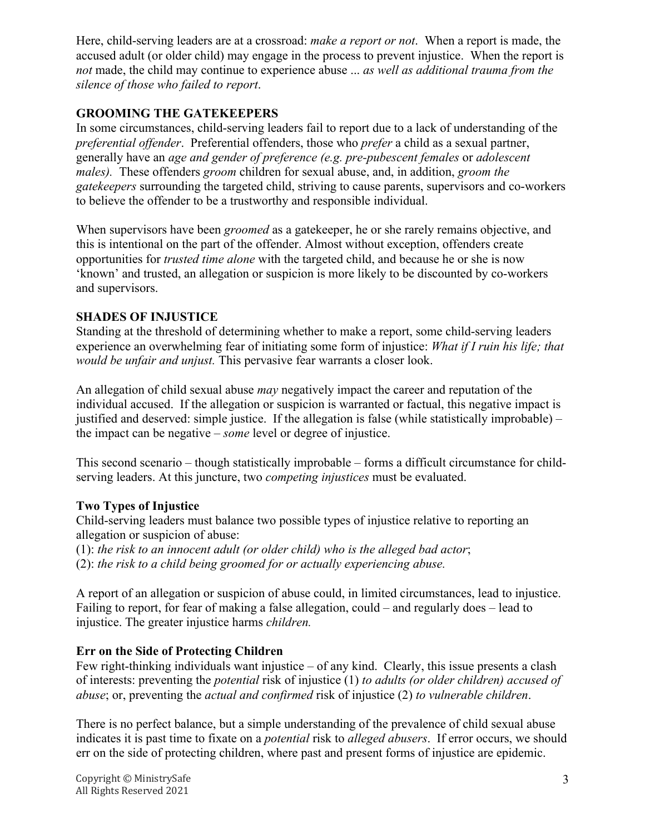Here, child-serving leaders are at a crossroad: *make a report or not*. When a report is made, the accused adult (or older child) may engage in the process to prevent injustice. When the report is *not* made, the child may continue to experience abuse ... *as well as additional trauma from the silence of those who failed to report*.

## **GROOMING THE GATEKEEPERS**

In some circumstances, child-serving leaders fail to report due to a lack of understanding of the *preferential offender*. Preferential offenders, those who *prefer* a child as a sexual partner, generally have an *age and gender of preference (e.g. pre-pubescent females* or *adolescent males).* These offenders *groom* children for sexual abuse, and, in addition, *groom the gatekeepers* surrounding the targeted child, striving to cause parents, supervisors and co-workers to believe the offender to be a trustworthy and responsible individual.

When supervisors have been *groomed* as a gatekeeper, he or she rarely remains objective, and this is intentional on the part of the offender. Almost without exception, offenders create opportunities for *trusted time alone* with the targeted child, and because he or she is now 'known' and trusted, an allegation or suspicion is more likely to be discounted by co-workers and supervisors.

#### **SHADES OF INJUSTICE**

Standing at the threshold of determining whether to make a report, some child-serving leaders experience an overwhelming fear of initiating some form of injustice: *What if I ruin his life; that would be unfair and unjust.* This pervasive fear warrants a closer look.

An allegation of child sexual abuse *may* negatively impact the career and reputation of the individual accused. If the allegation or suspicion is warranted or factual, this negative impact is justified and deserved: simple justice. If the allegation is false (while statistically improbable) – the impact can be negative – *some* level or degree of injustice.

This second scenario – though statistically improbable – forms a difficult circumstance for childserving leaders. At this juncture, two *competing injustices* must be evaluated.

## **Two Types of Injustice**

Child-serving leaders must balance two possible types of injustice relative to reporting an allegation or suspicion of abuse:

(1): *the risk to an innocent adult (or older child) who is the alleged bad actor*; (2): *the risk to a child being groomed for or actually experiencing abuse.*

A report of an allegation or suspicion of abuse could, in limited circumstances, lead to injustice. Failing to report, for fear of making a false allegation, could – and regularly does – lead to injustice. The greater injustice harms *children.* 

## **Err on the Side of Protecting Children**

Few right-thinking individuals want injustice – of any kind. Clearly, this issue presents a clash of interests: preventing the *potential* risk of injustice (1) *to adults (or older children) accused of abuse*; or, preventing the *actual and confirmed* risk of injustice (2) *to vulnerable children*.

There is no perfect balance, but a simple understanding of the prevalence of child sexual abuse indicates it is past time to fixate on a *potential* risk to *alleged abusers*. If error occurs, we should err on the side of protecting children, where past and present forms of injustice are epidemic.